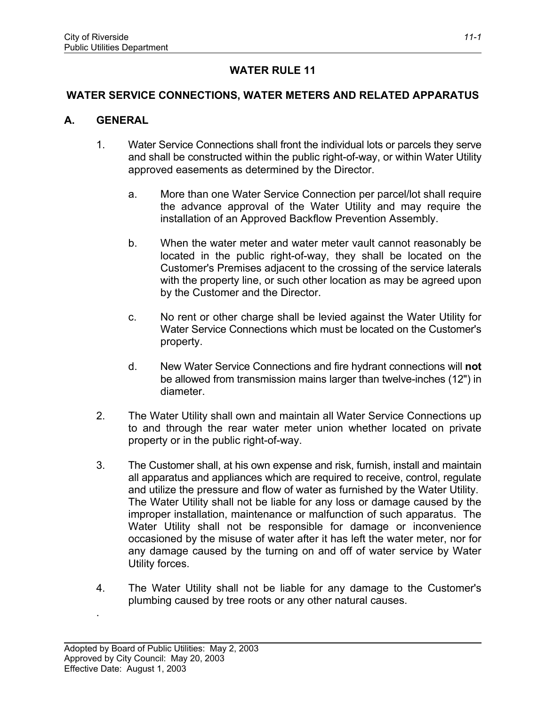# **WATER RULE 11**

## **WATER SERVICE CONNECTIONS, WATER METERS AND RELATED APPARATUS**

#### **A. GENERAL**

- 1. Water Service Connections shall front the individual lots or parcels they serve and shall be constructed within the public right-of-way, or within Water Utility approved easements as determined by the Director.
	- a. More than one Water Service Connection per parcel/lot shall require the advance approval of the Water Utility and may require the installation of an Approved Backflow Prevention Assembly.
	- b. When the water meter and water meter vault cannot reasonably be located in the public right-of-way, they shall be located on the Customer's Premises adjacent to the crossing of the service laterals with the property line, or such other location as may be agreed upon by the Customer and the Director.
	- c. No rent or other charge shall be levied against the Water Utility for Water Service Connections which must be located on the Customer's property.
	- d. New Water Service Connections and fire hydrant connections will **not** be allowed from transmission mains larger than twelve-inches (12") in diameter.
- 2. The Water Utility shall own and maintain all Water Service Connections up to and through the rear water meter union whether located on private property or in the public right-of-way.
- 3. The Customer shall, at his own expense and risk, furnish, install and maintain all apparatus and appliances which are required to receive, control, regulate and utilize the pressure and flow of water as furnished by the Water Utility. The Water Utility shall not be liable for any loss or damage caused by the improper installation, maintenance or malfunction of such apparatus. The Water Utility shall not be responsible for damage or inconvenience occasioned by the misuse of water after it has left the water meter, nor for any damage caused by the turning on and off of water service by Water Utility forces.
- 4. The Water Utility shall not be liable for any damage to the Customer's plumbing caused by tree roots or any other natural causes.

.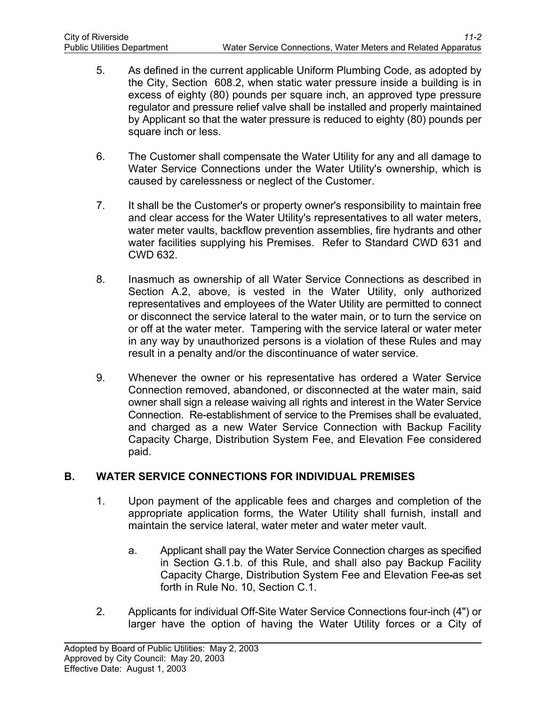- 5. As defined in the current applicable Uniform Plumbing Code, as adopted by the City, Section 608.2, when static water pressure inside a building is in excess of eighty (80) pounds per square inch, an approved type pressure regulator and pressure relief valve shall be installed and properly maintained by Applicant so that the water pressure is reduced to eighty (80) pounds per square inch or less.
- 6. The Customer shall compensate the Water Utility for any and all damage to Water Service Connections under the Water Utility's ownership, which is caused by carelessness or neglect of the Customer.
- 7. It shall be the Customer's or property owner's responsibility to maintain free and clear access for the Water Utility's representatives to all water meters, water meter vaults, backflow prevention assemblies, fire hydrants and other water facilities supplying his Premises. Refer to Standard CWD 631 and CWD 632.
- 8. Inasmuch as ownership of all Water Service Connections as described in Section A.2, above, is vested in the Water Utility, only authorized representatives and employees of the Water Utility are permitted to connect or disconnect the service lateral to the water main, or to turn the service on or off at the water meter. Tampering with the service lateral or water meter in any way by unauthorized persons is a violation of these Rules and may result in a penalty and/or the discontinuance of water service.
- 9. Whenever the owner or his representative has ordered a Water Service Connection removed, abandoned, or disconnected at the water main, said owner shall sign a release waiving all rights and interest in the Water Service Connection. Re-establishment of service to the Premises shall be evaluated, and charged as a new Water Service Connection with Backup Facility Capacity Charge, Distribution System Fee, and Elevation Fee considered paid.

# **B. WATER SERVICE CONNECTIONS FOR INDIVIDUAL PREMISES**

- 1. Upon payment of the applicable fees and charges and completion of the appropriate application forms, the Water Utility shall furnish, install and maintain the service lateral, water meter and water meter vault.
	- a. Applicant shall pay the Water Service Connection charges as specified in Section G.1.b. of this Rule, and shall also pay Backup Facility Capacity Charge, Distribution System Fee and Elevation Fee as set forth in Rule No. 10, Section C.1.
- 2. Applicants for individual Off-Site Water Service Connections four-inch (4") or larger have the option of having the Water Utility forces or a City of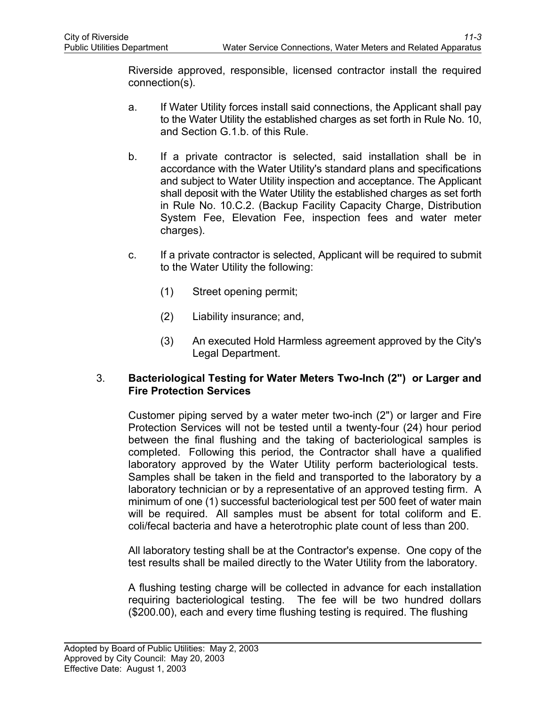Riverside approved, responsible, licensed contractor install the required connection(s).

- a. If Water Utility forces install said connections, the Applicant shall pay to the Water Utility the established charges as set forth in Rule No. 10, and Section G.1.b. of this Rule.
- b. If a private contractor is selected, said installation shall be in accordance with the Water Utility's standard plans and specifications and subject to Water Utility inspection and acceptance. The Applicant shall deposit with the Water Utility the established charges as set forth in Rule No. 10.C.2. (Backup Facility Capacity Charge, Distribution System Fee, Elevation Fee, inspection fees and water meter charges).
- c. If a private contractor is selected, Applicant will be required to submit to the Water Utility the following:
	- (1) Street opening permit;
	- (2) Liability insurance; and,
	- (3) An executed Hold Harmless agreement approved by the City's Legal Department.

## 3. **Bacteriological Testing for Water Meters Two-Inch (2") or Larger and Fire Protection Services**

Customer piping served by a water meter two-inch (2") or larger and Fire Protection Services will not be tested until a twenty-four (24) hour period between the final flushing and the taking of bacteriological samples is completed. Following this period, the Contractor shall have a qualified laboratory approved by the Water Utility perform bacteriological tests. Samples shall be taken in the field and transported to the laboratory by a laboratory technician or by a representative of an approved testing firm. A minimum of one (1) successful bacteriological test per 500 feet of water main will be required. All samples must be absent for total coliform and E. coli/fecal bacteria and have a heterotrophic plate count of less than 200.

All laboratory testing shall be at the Contractor's expense. One copy of the test results shall be mailed directly to the Water Utility from the laboratory.

A flushing testing charge will be collected in advance for each installation requiring bacteriological testing. The fee will be two hundred dollars (\$200.00), each and every time flushing testing is required. The flushing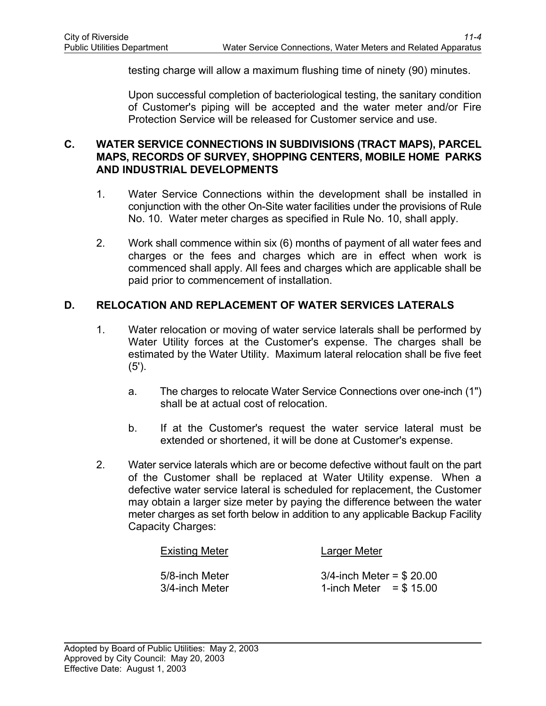testing charge will allow a maximum flushing time of ninety (90) minutes.

Upon successful completion of bacteriological testing, the sanitary condition of Customer's piping will be accepted and the water meter and/or Fire Protection Service will be released for Customer service and use.

#### **C. WATER SERVICE CONNECTIONS IN SUBDIVISIONS (TRACT MAPS), PARCEL MAPS, RECORDS OF SURVEY, SHOPPING CENTERS, MOBILE HOME PARKS AND INDUSTRIAL DEVELOPMENTS**

- 1. Water Service Connections within the development shall be installed in conjunction with the other On-Site water facilities under the provisions of Rule No. 10. Water meter charges as specified in Rule No. 10, shall apply.
- 2. Work shall commence within six (6) months of payment of all water fees and charges or the fees and charges which are in effect when work is commenced shall apply. All fees and charges which are applicable shall be paid prior to commencement of installation.

#### **D. RELOCATION AND REPLACEMENT OF WATER SERVICES LATERALS**

- 1. Water relocation or moving of water service laterals shall be performed by Water Utility forces at the Customer's expense. The charges shall be estimated by the Water Utility. Maximum lateral relocation shall be five feet (5').
	- a. The charges to relocate Water Service Connections over one-inch (1") shall be at actual cost of relocation.
	- b. If at the Customer's request the water service lateral must be extended or shortened, it will be done at Customer's expense.
- 2. Water service laterals which are or become defective without fault on the part of the Customer shall be replaced at Water Utility expense. When a defective water service lateral is scheduled for replacement, the Customer may obtain a larger size meter by paying the difference between the water meter charges as set forth below in addition to any applicable Backup Facility Capacity Charges:

| <b>Existing Meter</b> | Larger Meter                 |
|-----------------------|------------------------------|
| 5/8-inch Meter        | $3/4$ -inch Meter = \$ 20.00 |
| 3/4-inch Meter        | 1-inch Meter = $$15.00$      |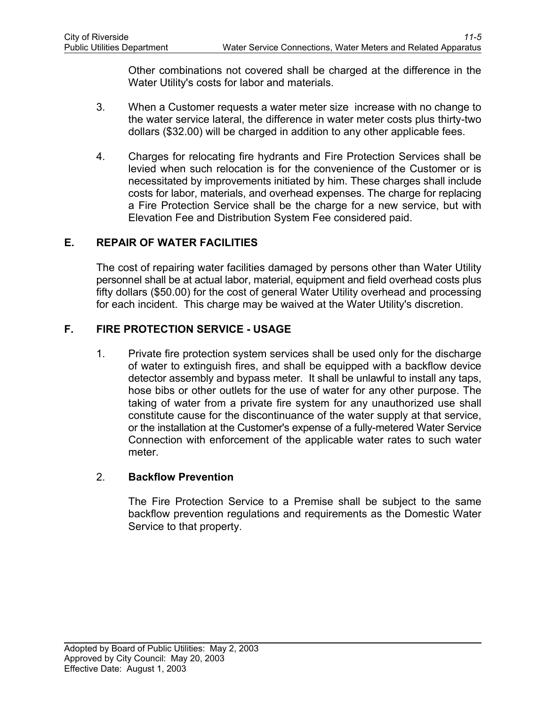Other combinations not covered shall be charged at the difference in the Water Utility's costs for labor and materials.

- 3. When a Customer requests a water meter size increase with no change to the water service lateral, the difference in water meter costs plus thirty-two dollars (\$32.00) will be charged in addition to any other applicable fees.
- 4. Charges for relocating fire hydrants and Fire Protection Services shall be levied when such relocation is for the convenience of the Customer or is necessitated by improvements initiated by him. These charges shall include costs for labor, materials, and overhead expenses. The charge for replacing a Fire Protection Service shall be the charge for a new service, but with Elevation Fee and Distribution System Fee considered paid.

## **E. REPAIR OF WATER FACILITIES**

The cost of repairing water facilities damaged by persons other than Water Utility personnel shall be at actual labor, material, equipment and field overhead costs plus fifty dollars (\$50.00) for the cost of general Water Utility overhead and processing for each incident. This charge may be waived at the Water Utility's discretion.

## **F. FIRE PROTECTION SERVICE - USAGE**

1. Private fire protection system services shall be used only for the discharge of water to extinguish fires, and shall be equipped with a backflow device detector assembly and bypass meter. It shall be unlawful to install any taps, hose bibs or other outlets for the use of water for any other purpose. The taking of water from a private fire system for any unauthorized use shall constitute cause for the discontinuance of the water supply at that service, or the installation at the Customer's expense of a fully-metered Water Service Connection with enforcement of the applicable water rates to such water meter.

## 2. **Backflow Prevention**

The Fire Protection Service to a Premise shall be subject to the same backflow prevention regulations and requirements as the Domestic Water Service to that property.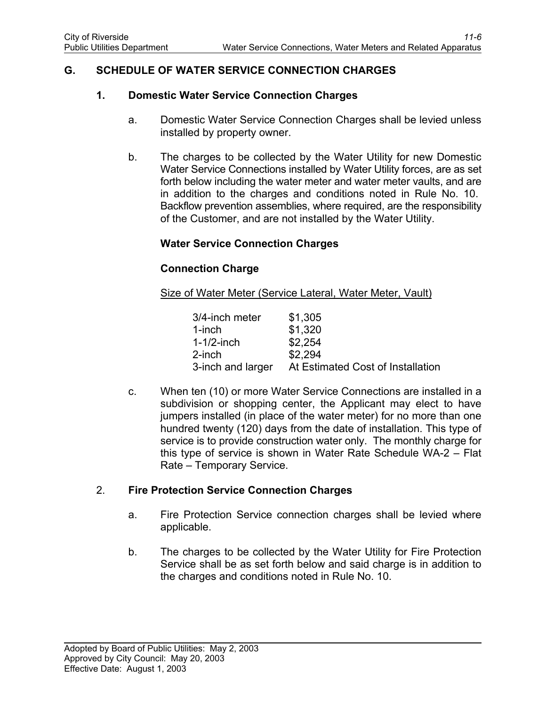## **G. SCHEDULE OF WATER SERVICE CONNECTION CHARGES**

#### **1. Domestic Water Service Connection Charges**

- a. Domestic Water Service Connection Charges shall be levied unless installed by property owner.
- b. The charges to be collected by the Water Utility for new Domestic Water Service Connections installed by Water Utility forces, are as set forth below including the water meter and water meter vaults, and are in addition to the charges and conditions noted in Rule No. 10. Backflow prevention assemblies, where required, are the responsibility of the Customer, and are not installed by the Water Utility.

## **Water Service Connection Charges**

#### **Connection Charge**

Size of Water Meter (Service Lateral, Water Meter, Vault)

| 3/4-inch meter    | \$1,305                           |
|-------------------|-----------------------------------|
| $1$ -inch         | \$1,320                           |
| $1-1/2$ -inch     | \$2,254                           |
| $2$ -inch         | \$2,294                           |
| 3-inch and larger | At Estimated Cost of Installation |

c. When ten (10) or more Water Service Connections are installed in a subdivision or shopping center, the Applicant may elect to have jumpers installed (in place of the water meter) for no more than one hundred twenty (120) days from the date of installation. This type of service is to provide construction water only. The monthly charge for this type of service is shown in Water Rate Schedule WA-2 – Flat Rate – Temporary Service.

#### 2. **Fire Protection Service Connection Charges**

- a. Fire Protection Service connection charges shall be levied where applicable.
- b. The charges to be collected by the Water Utility for Fire Protection Service shall be as set forth below and said charge is in addition to the charges and conditions noted in Rule No. 10.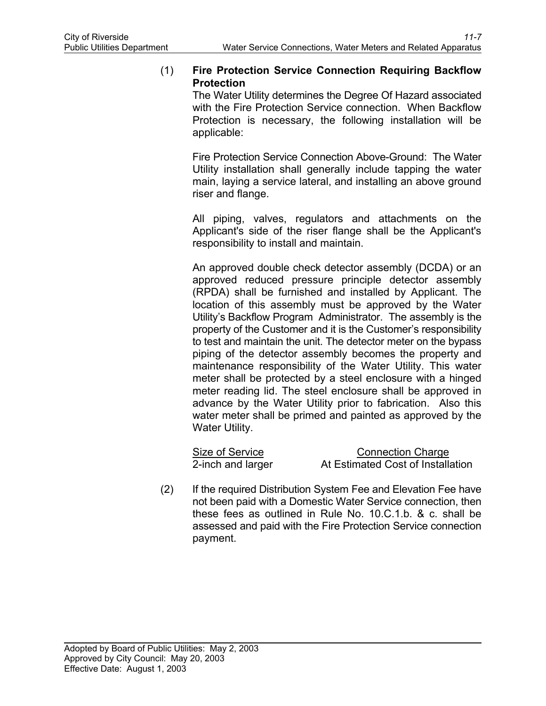### (1) **Fire Protection Service Connection Requiring Backflow Protection**

The Water Utility determines the Degree Of Hazard associated with the Fire Protection Service connection. When Backflow Protection is necessary, the following installation will be applicable:

Fire Protection Service Connection Above-Ground: The Water Utility installation shall generally include tapping the water main, laying a service lateral, and installing an above ground riser and flange.

All piping, valves, regulators and attachments on the Applicant's side of the riser flange shall be the Applicant's responsibility to install and maintain.

An approved double check detector assembly (DCDA) or an approved reduced pressure principle detector assembly (RPDA) shall be furnished and installed by Applicant. The location of this assembly must be approved by the Water Utility's Backflow Program Administrator. The assembly is the property of the Customer and it is the Customer's responsibility to test and maintain the unit. The detector meter on the bypass piping of the detector assembly becomes the property and maintenance responsibility of the Water Utility. This water meter shall be protected by a steel enclosure with a hinged meter reading lid. The steel enclosure shall be approved in advance by the Water Utility prior to fabrication. Also this water meter shall be primed and painted as approved by the Water Utility.

| Size of Service   | <b>Connection Charge</b>          |
|-------------------|-----------------------------------|
| 2-inch and larger | At Estimated Cost of Installation |

(2) If the required Distribution System Fee and Elevation Fee have not been paid with a Domestic Water Service connection, then these fees as outlined in Rule No. 10.C.1.b. & c. shall be assessed and paid with the Fire Protection Service connection payment.